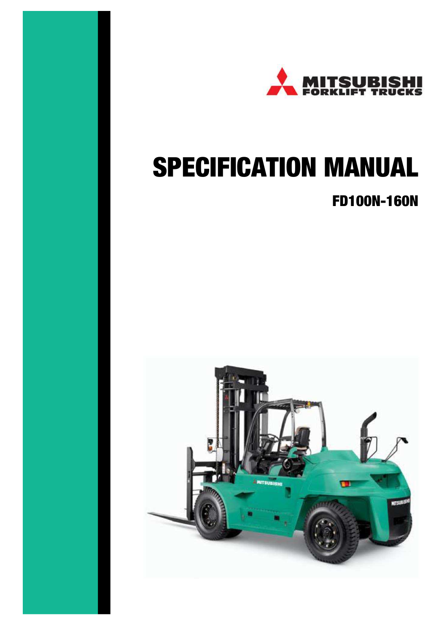

# SPECIFICATION MANUAL

# FD100N-160N

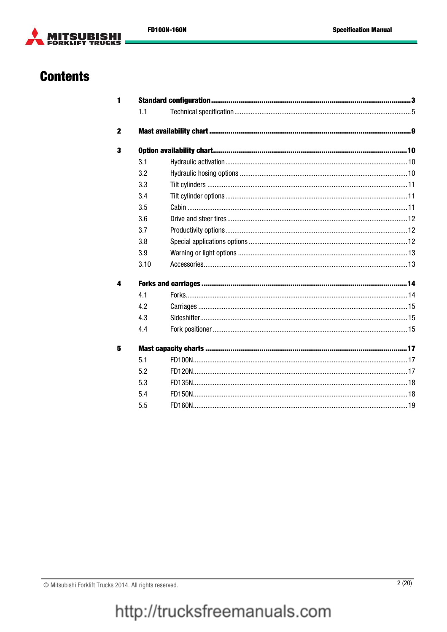

# **Contents**

| 1.1  |  |
|------|--|
|      |  |
|      |  |
| 3.1  |  |
| 3.2  |  |
| 3.3  |  |
| 3.4  |  |
| 3.5  |  |
| 3.6  |  |
| 3.7  |  |
| 3.8  |  |
| 3.9  |  |
| 3.10 |  |
|      |  |
| 41   |  |
| 4.2  |  |
| 4.3  |  |
| 4.4  |  |
|      |  |
| 5.1  |  |
| 5.2  |  |
| 5.3  |  |
| 5.4  |  |
| 5.5  |  |
|      |  |

© Mitsubishi Forklift Trucks 2014. All rights reserved.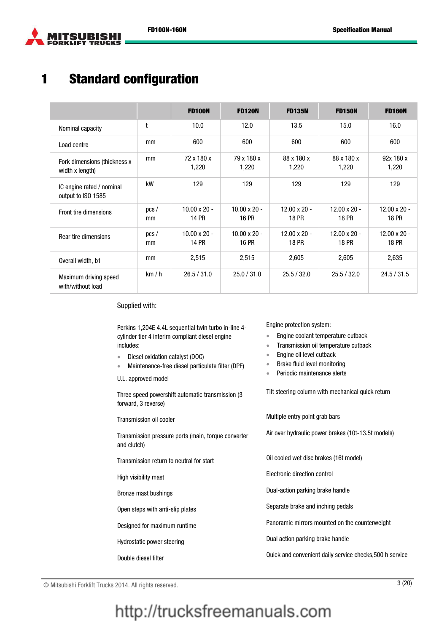



# 1 Standard configuration

|                                                  |            | <b>FD100N</b>                | <b>FD120N</b>                       | <b>FD135N</b>                       | <b>FD150N</b>                       | <b>FD160N</b>                       |
|--------------------------------------------------|------------|------------------------------|-------------------------------------|-------------------------------------|-------------------------------------|-------------------------------------|
| Nominal capacity                                 | t          | 10.0                         | 12.0                                | 13.5                                | 15.0                                | 16.0                                |
| Load centre                                      | mm         | 600                          | 600                                 | 600                                 | 600                                 | 600                                 |
| Fork dimensions (thickness x)<br>width x length) | mm         | 72 x 180 x<br>1,220          | 79 x 180 x<br>1,220                 | 88 x 180 x<br>1,220                 | 88 x 180 x<br>1,220                 | 92x 180 x<br>1,220                  |
| IC engine rated / nominal<br>output to ISO 1585  | kW         | 129                          | 129                                 | 129                                 | 129                                 | 129                                 |
| Front tire dimensions                            | pcs/<br>mm | $10.00 \times 20$ -<br>14 PR | $10.00 \times 20$ -<br>16 PR        | $12.00 \times 20$ -<br><b>18 PR</b> | $12.00 \times 20$ -<br><b>18 PR</b> | $12.00 \times 20$ -<br><b>18 PR</b> |
| Rear tire dimensions                             | pcs/<br>mm | $10.00 \times 20$ -<br>14 PR | $10.00 \times 20$ -<br><b>16 PR</b> | $12.00 \times 20$ -<br><b>18 PR</b> | $12.00 \times 20$ -<br><b>18 PR</b> | $12.00 \times 20$ -<br><b>18 PR</b> |
| Overall width, b1                                | mm         | 2,515                        | 2,515                               | 2,605                               | 2,605                               | 2,635                               |
| Maximum driving speed<br>with/without load       | km/h       | 26.5 / 31.0                  | 25.0 / 31.0                         | 25.5 / 32.0                         | 25.5 / 32.0                         | 24.5 / 31.5                         |

Supplied with:

Perkins 1,204E 4.4L sequential twin turbo in-line 4 cylinder tier 4 interim compliant diesel engine includes:

- Diesel oxidation catalyst (DOC)
- Maintenance-free diesel particulate filter (DPF)
- U.L. approved model

Three speed powershift automatic transmission (3 forward, 3 reverse)

Transmission pressure ports (main, torque converter and clutch)

- 
- 
- 

- 
- 
- 

Engine protection system:

- **Engine coolant temperature cutback**
- Transmission oil temperature cutback
- Engine oil level cutback
- Brake fluid level monitoring
- Periodic maintenance alerts

Tilt steering column with mechanical quick return

Transmission oil cooler Multiple entry point grab bars Air over hydraulic power brakes (10t-13.5t models) Transmission return to neutral for start **Oil cooled wet disc brakes (16t model)** High visibility mast Electronic direction control Bronze mast bushings **Bronze mast bushings Dual-action parking brake handle** Open steps with anti-slip plates Separate brake and inching pedals Designed for maximum runtime Panoramic mirrors mounted on the counterweight Hydrostatic power steering **Exercise 2018** Dual action parking brake handle Double diesel filter **Conventional Cuick and convenient daily service checks**,500 h service

© Mitsubishi Forklift Trucks 2014. All rights reserved. 3 (20)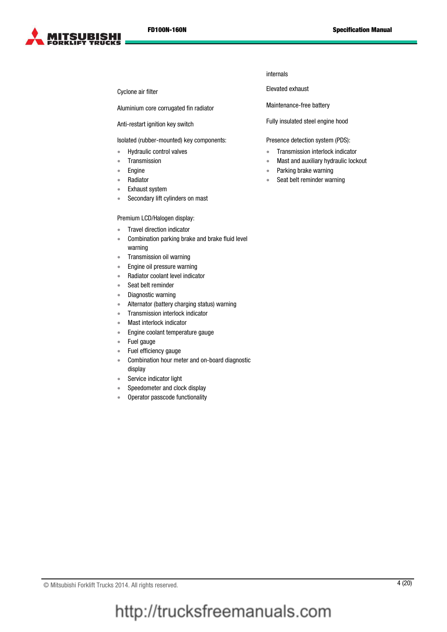

Aluminium core corrugated fin radiator Maintenance-free battery

Isolated (rubber-mounted) key components:

- Hydraulic control valves
- Transmission
- Engine
- Radiator
- Exhaust system
- Secondary lift cylinders on mast

#### Premium LCD/Halogen display:

- Travel direction indicator
- Combination parking brake and brake fluid level warning
- Transmission oil warning
- Engine oil pressure warning
- Radiator coolant level indicator
- Seat belt reminder
- Diagnostic warning
- Alternator (battery charging status) warning
- Transmission interlock indicator
- Mast interlock indicator
- Engine coolant temperature gauge
- Fuel gauge
- Fuel efficiency gauge
- Combination hour meter and on-board diagnostic display
- Service indicator light
- Speedometer and clock display
- Operator passcode functionality

internals

Cyclone air filter **Elevated exhaust** 

Anti-restart ignition key switch Fully insulated steel engine hood

Presence detection system (PDS):

- **Transmission interlock indicator**
- Mast and auxiliary hydraulic lockout
- Parking brake warning
- Seat belt reminder warning

© Mitsubishi Forklift Trucks 2014. All rights reserved. 4 (20)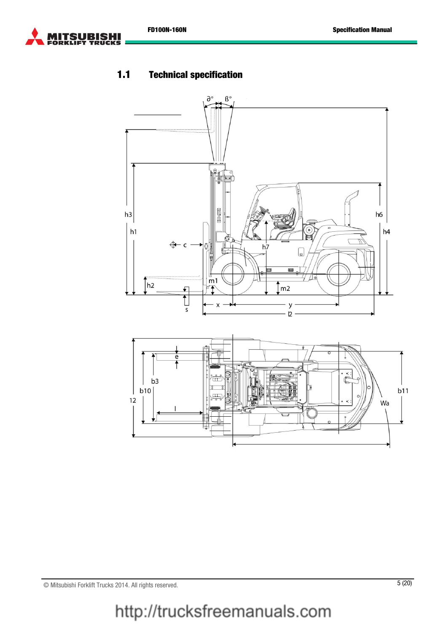

#### 1.1 Technical specification





© Mitsubishi Forklift Trucks 2014. All rights reserved. 5 (20)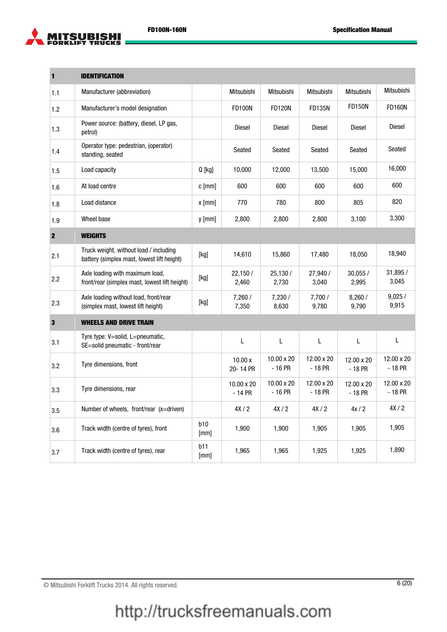

| 1            | <b>IDENTIFICATION</b>                                                                |             |                       |                        |                        |                        |                        |
|--------------|--------------------------------------------------------------------------------------|-------------|-----------------------|------------------------|------------------------|------------------------|------------------------|
| 1.1          | Manufacturer (abbreviation)                                                          |             | Mitsubishi            | Mitsubishi             | Mitsubishi             | <b>Mitsubishi</b>      | Mitsubishi             |
| 1.2          | Manufacturer's model designation                                                     |             | <b>FD100N</b>         | <b>FD120N</b>          | <b>FD135N</b>          | <b>FD150N</b>          | <b>FD160N</b>          |
| 1.3          | Power source: (battery, diesel, LP gas,<br>petrol)                                   |             | Diesel                | <b>Diesel</b>          | Diesel                 | <b>Diesel</b>          | Diesel                 |
| 1.4          | Operator type: pedestrian, (operator)<br>standing, seated                            |             | Seated                | Seated                 | Seated                 | Seated                 | Seated                 |
| 1.5          | Load capacity                                                                        | $Q$ [kg]    | 10,000                | 12,000                 | 13,500                 | 15,000                 | 16,000                 |
| 1.6          | At load centre                                                                       | $c$ [mm]    | 600                   | 600                    | 600                    | 600                    | 600                    |
| 1.8          | Load distance                                                                        | $x$ [mm]    | 770                   | 780                    | 800                    | 805                    | 820                    |
| 1.9          | Wheel base                                                                           | $y$ [mm]    | 2,800                 | 2,800                  | 2,800                  | 3,100                  | 3,300                  |
| $\mathbf{2}$ | <b>WEIGHTS</b>                                                                       |             |                       |                        |                        |                        |                        |
| 2.1          | Truck weight, without load / including<br>battery (simplex mast, lowest lift height) | [kg]        | 14,610                | 15,860                 | 17,480                 | 18,050                 | 18,940                 |
| 2.2          | Axle loading with maximum load,<br>front/rear (simplex mast, lowest lift height)     | [kg]        | 22,150 /<br>2,460     | 25.130 /<br>2,730      | 27,940 /<br>3,040      | 30.055/<br>2,995       | 31,895 /<br>3,045      |
| 2.3          | Axle loading without load, front/rear<br>(simplex mast, lowest lift height)          | $[kg]$      | 7,260/<br>7,350       | 7,230/<br>8,630        | 7,700/<br>9,780        | 8,260 /<br>9,790       | 9,025/<br>9,915        |
| $\mathbf 3$  | <b>WHEELS AND DRIVE TRAIN</b>                                                        |             |                       |                        |                        |                        |                        |
| 3.1          | Tyre type: V=solid, L=pneumatic,<br>SE=solid pneumatic - front/rear                  |             | L                     | L                      | L                      | L                      | L                      |
| 3.2          | Tyre dimensions, front                                                               |             | 10.00 x<br>20-14 PR   | 10.00 x 20<br>$-16$ PR | 12.00 x 20<br>$-18$ PR | 12.00 x 20<br>$-18$ PR | 12.00 x 20<br>$-18$ PR |
| 3.3          | Tyre dimensions, rear                                                                |             | 10.00 x 20<br>- 14 PR | 10.00 x 20<br>$-16$ PR | 12.00 x 20<br>$-18$ PR | 12.00 x 20<br>- 18 PR  | 12.00 x 20<br>$-18$ PR |
| 3.5          | Number of wheels, front/rear (x=driven)                                              |             | 4X/2                  | 4X/2                   | 4X/2                   | 4x/2                   | 4X/2                   |
| 3.6          | Track width (centre of tyres), front                                                 | b10<br>[mm] | 1.900                 | 1.900                  | 1.905                  | 1.905                  | 1,905                  |
| 3.7          | Track width (centre of tyres), rear                                                  | b11<br>[mm] | 1,965                 | 1,965                  | 1,925                  | 1,925                  | 1,890                  |

© Mitsubishi Forklift Trucks 2014. All rights reserved. 6 (20)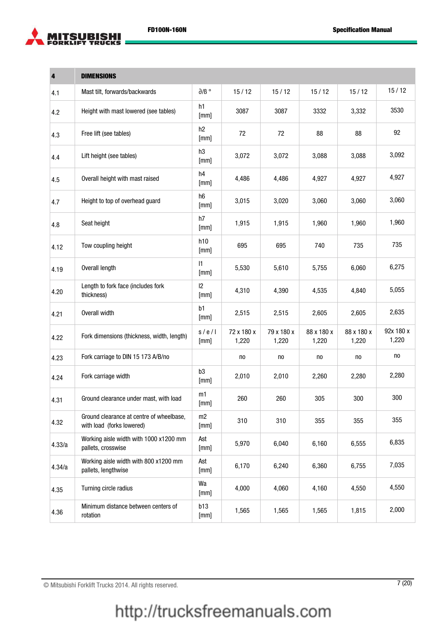

| 4      | <b>DIMENSIONS</b>                                                     |                      |                     |                     |                     |                     |                    |
|--------|-----------------------------------------------------------------------|----------------------|---------------------|---------------------|---------------------|---------------------|--------------------|
| 4.1    | Mast tilt, forwards/backwards                                         | $\partial/B$ $\circ$ | 15/12               | 15/12               | 15/12               | 15/12               | 15/12              |
| 4.2    | Height with mast lowered (see tables)                                 | h1<br>[mm]           | 3087                | 3087                | 3332                | 3,332               | 3530               |
| 4.3    | Free lift (see tables)                                                | h2<br>[mm]           | 72                  | 72                  | 88                  | 88                  | 92                 |
| 4.4    | Lift height (see tables)                                              | h3<br>[mm]           | 3,072               | 3,072               | 3,088               | 3,088               | 3,092              |
| 4.5    | Overall height with mast raised                                       | h4<br>[mm]           | 4,486               | 4,486               | 4,927               | 4,927               | 4,927              |
| 4.7    | Height to top of overhead guard                                       | h6<br>[mm]           | 3,015               | 3,020               | 3,060               | 3,060               | 3,060              |
| 4.8    | Seat height                                                           | h7<br>[mm]           | 1,915               | 1,915               | 1,960               | 1,960               | 1,960              |
| 4.12   | Tow coupling height                                                   | h10<br>[mm]          | 695                 | 695                 | 740                 | 735                 | 735                |
| 4.19   | Overall length                                                        | $\mathsf{I}$<br>[mm] | 5,530               | 5,610               | 5,755               | 6,060               | 6,275              |
| 4.20   | Length to fork face (includes fork<br>thickness)                      | $ 2\rangle$<br>[mm]  | 4,310               | 4,390               | 4,535               | 4,840               | 5,055              |
| 4.21   | Overall width                                                         | b1<br>[mm]           | 2,515               | 2,515               | 2,605               | 2,605               | 2,635              |
| 4.22   | Fork dimensions (thickness, width, length)                            | s/e/l<br>[mm]        | 72 x 180 x<br>1,220 | 79 x 180 x<br>1,220 | 88 x 180 x<br>1,220 | 88 x 180 x<br>1,220 | 92x 180 x<br>1,220 |
| 4.23   | Fork carriage to DIN 15 173 A/B/no                                    |                      | no                  | no                  | no                  | no                  | no                 |
| 4.24   | Fork carriage width                                                   | b3<br>[mm]           | 2,010               | 2,010               | 2,260               | 2,280               | 2,280              |
| 4.31   | Ground clearance under mast, with load                                | m1<br>[mm]           | 260                 | 260                 | 305                 | 300                 | 300                |
| 4.32   | Ground clearance at centre of wheelbase,<br>with load (forks lowered) | m2<br>[mm]           | 310                 | 310                 | 355                 | 355                 | 355                |
| 4.33/a | Working aisle width with 1000 x1200 mm<br>pallets, crosswise          | Ast<br>[mm]          | 5,970               | 6,040               | 6,160               | 6,555               | 6,835              |
| 4.34/a | Working aisle width with 800 x1200 mm<br>pallets, lengthwise          | Ast<br>[mm]          | 6,170               | 6,240               | 6,360               | 6,755               | 7,035              |
| 4.35   | Turning circle radius                                                 | Wa<br>[mm]           | 4,000               | 4,060               | 4,160               | 4,550               | 4,550              |
| 4.36   | Minimum distance between centers of<br>rotation                       | b13<br>[mm]          | 1,565               | 1,565               | 1,565               | 1,815               | 2,000              |

© Mitsubishi Forklift Trucks 2014. All rights reserved. 7 (20)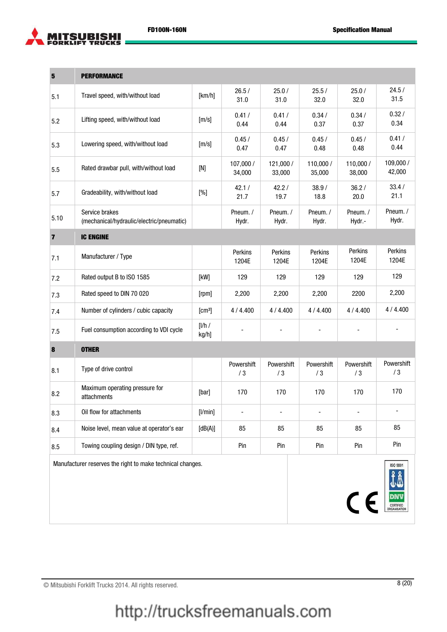

| $5\phantom{1}$          | <b>PERFORMANCE</b>                                          |                    |                          |                          |                          |                          |                          |
|-------------------------|-------------------------------------------------------------|--------------------|--------------------------|--------------------------|--------------------------|--------------------------|--------------------------|
| 5.1                     | Travel speed, with/without load                             | [km/h]             | 26.5/<br>31.0            | 25.0/<br>31.0            | 25.5/<br>32.0            | 25.0/<br>32.0            | 24.5/<br>31.5            |
| 5.2                     | Lifting speed, with/without load                            | [m/s]              | 0.41/<br>0.44            | 0.41/<br>0.44            | 0.34/<br>0.37            | 0.34/<br>0.37            | 0.32/<br>0.34            |
| 5.3                     | Lowering speed, with/without load                           | [m/s]              | 0.45/<br>0.47            | 0.45/<br>0.47            | 0.45/<br>0.48            | 0.45/<br>0.48            | 0.41/<br>0.44            |
| 5.5                     | Rated drawbar pull, with/without load                       | $[{\sf N}]$        | 107,000 /<br>34,000      | 121,000 /<br>33,000      | 110,000 /<br>35,000      | 110,000 /<br>38,000      | 109,000 /<br>42,000      |
| 5.7                     | Gradeability, with/without load                             | [%]                | 42.1/<br>21.7            | 42.2/<br>19.7            | 38.9/<br>18.8            | 36.2/<br>20.0            | 33.4/<br>21.1            |
| 5.10                    | Service brakes<br>(mechanical/hydraulic/electric/pneumatic) |                    | Pneum./<br>Hydr.         | Pneum./<br>Hydr.         | Pneum. /<br>Hydr.        | Pneum./<br>Hydr.-        | Pneum./<br>Hydr.         |
| $\overline{\mathbf{z}}$ | <b>IC ENGINE</b>                                            |                    |                          |                          |                          |                          |                          |
| 7.1                     | Manufacturer / Type                                         |                    | Perkins<br>1204E         | Perkins<br>1204E         | Perkins<br>1204E         | Perkins<br>1204E         | Perkins<br>1204E         |
| 7.2                     | Rated output B to ISO 1585                                  | [kW]               | 129                      | 129                      | 129                      | 129                      | 129                      |
| 7.3                     | Rated speed to DIN 70 020                                   | [rpm]              | 2,200                    | 2,200                    | 2,200                    | 2200                     | 2,200                    |
| 7.4                     | Number of cylinders / cubic capacity                        | [cm <sup>3</sup> ] | 4/4.400                  | 4/4.400                  | 4/4.400                  | 4/4.400                  | 4/4.400                  |
| 7.5                     | Fuel consumption according to VDI cycle                     | [1/h/<br>kg/h]     |                          | $\overline{\phantom{a}}$ | $\overline{\phantom{a}}$ | $\overline{\phantom{a}}$ |                          |
| $\pmb{8}$               | <b>OTHER</b>                                                |                    |                          |                          |                          |                          |                          |
| 8.1                     | Type of drive control                                       |                    | Powershift<br>/3         | Powershift<br>/3         | Powershift<br>/3         | Powershift<br>/3         | Powershift<br>/3         |
| 8.2                     | Maximum operating pressure for<br>attachments               | [bar]              | 170                      | 170                      | 170                      | 170                      | 170                      |
| 8.3                     | Oil flow for attachments                                    | [1/min]            | $\overline{\phantom{a}}$ | $\overline{\phantom{a}}$ | $\overline{\phantom{0}}$ | $\overline{\phantom{0}}$ | $\overline{\phantom{a}}$ |
| 8.4                     | Noise level, mean value at operator's ear                   | [dB(A)]            | 85                       | 85                       | 85                       | 85                       | 85                       |
| 8.5                     | Towing coupling design / DIN type, ref.                     |                    | Pin                      | Pin                      | Pin                      | Pin                      | Pin                      |
|                         | Manufacturer reserves the right to make technical changes.  |                    |                          |                          |                          | $c \epsilon$             | ISO 9001                 |

© Mitsubishi Forklift Trucks 2014. All rights reserved. 8 (20)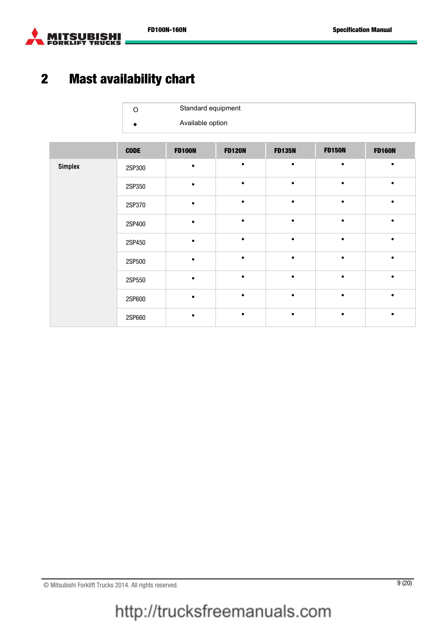

# 2 Mast availability chart

| Standard equipment |
|--------------------|
| Available option   |

|                | <b>CODE</b> | <b>FD100N</b> | <b>FD120N</b> | <b>FD135N</b> | <b>FD150N</b> | <b>FD160N</b> |
|----------------|-------------|---------------|---------------|---------------|---------------|---------------|
| <b>Simplex</b> | 2SP300      | $\bullet$     | ٠             |               | $\bullet$     |               |
|                | 2SP350      | $\bullet$     | $\bullet$     | $\bullet$     | $\bullet$     |               |
|                | 2SP370      | $\bullet$     | $\bullet$     |               | $\bullet$     |               |
|                | 2SP400      | $\bullet$     | $\bullet$     |               |               |               |
|                | 2SP450      |               | $\bullet$     | $\bullet$     | $\bullet$     |               |
|                | 2SP500      | $\bullet$     | $\bullet$     | $\bullet$     | $\bullet$     |               |
|                | 2SP550      | $\bullet$     | ٠             |               |               |               |
|                | 2SP600      |               | $\bullet$     | $\bullet$     | $\bullet$     |               |
|                | 2SP660      |               |               |               |               |               |

© Mitsubishi Forklift Trucks 2014. All rights reserved. 9 (20)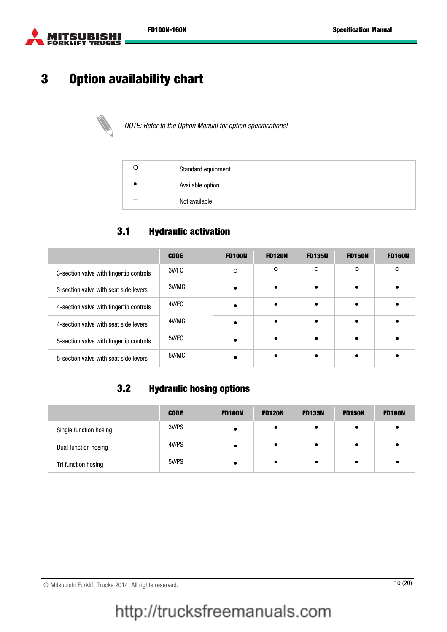

## 3 Option availability chart



NOTE: Refer to the Option Manual for option specifications!

| Standard equipment |
|--------------------|
| Available option   |
| Not available      |

#### 3.1 Hydraulic activation

|                                         | <b>CODE</b> | <b>FD100N</b> | <b>FD120N</b> | <b>FD135N</b> | <b>FD150N</b> | <b>FD160N</b> |
|-----------------------------------------|-------------|---------------|---------------|---------------|---------------|---------------|
| 3-section valve with fingertip controls | 3V/FC       | $\Omega$      | O             | $\circ$       | $\circ$       | $\Omega$      |
| 3-section valve with seat side levers   | 3V/MC       |               |               | $\bullet$     |               |               |
| 4-section valve with fingertip controls | 4V/FC       |               |               | $\bullet$     |               |               |
| 4-section valve with seat side levers   | 4V/MC       |               |               |               |               |               |
| 5-section valve with fingertip controls | 5V/FC       |               |               |               |               |               |
| 5-section valve with seat side levers   | 5V/MC       |               |               |               |               |               |

#### 3.2 Hydraulic hosing options

|                        | <b>CODE</b> | <b>FD100N</b> | <b>FD120N</b> | <b>FD135N</b> | <b>FD150N</b> | <b>FD160N</b> |
|------------------------|-------------|---------------|---------------|---------------|---------------|---------------|
| Single function hosing | 3V/PS       |               |               |               |               |               |
| Dual function hosing   | 4V/PS       |               |               |               |               |               |
| Tri function hosing    | 5V/PS       |               |               |               |               |               |

© Mitsubishi Forklift Trucks 2014. All rights reserved. 10 (20)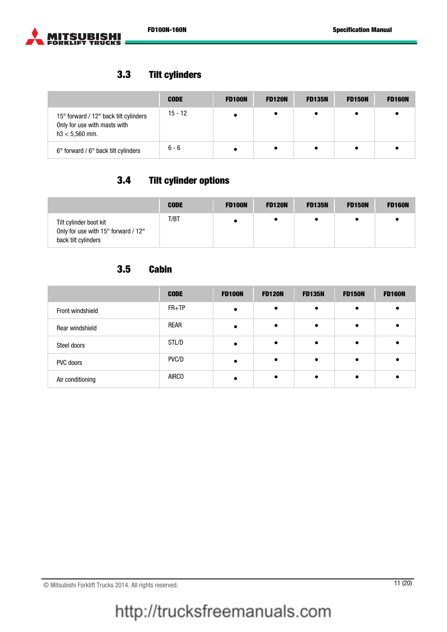



#### 3.3 Tilt cylinders

|                                                                                           | <b>CODE</b> | <b>FD100N</b> | <b>FD120N</b> | <b>FD135N</b> | <b>FD150N</b> | <b>FD160N</b> |
|-------------------------------------------------------------------------------------------|-------------|---------------|---------------|---------------|---------------|---------------|
| 15° forward / 12° back tilt cylinders<br>Only for use with masts with<br>$h3 < 5,560$ mm. | $15 - 12$   |               |               |               |               |               |
| $6^{\circ}$ forward / $6^{\circ}$ back tilt cylinders                                     | 6 - 6       |               |               |               |               |               |

### 3.4 Tilt cylinder options

|                                                                                      | <b>CODE</b> | <b>FD100N</b> | <b>FD120N</b> | <b>FD135N</b> | <b>FD150N</b> | <b>FD160N</b> |
|--------------------------------------------------------------------------------------|-------------|---------------|---------------|---------------|---------------|---------------|
| Tilt cylinder boot kit<br>Only for use with 15° forward / 12°<br>back tilt cylinders | T/BT        |               |               |               |               |               |

### 3.5 Cabin

|                  | <b>CODE</b>  | <b>FD100N</b> | <b>FD120N</b> | <b>FD135N</b> | <b>FD150N</b> | <b>FD160N</b> |
|------------------|--------------|---------------|---------------|---------------|---------------|---------------|
| Front windshield | $FR+TP$      |               |               | $\bullet$     | $\epsilon$    |               |
| Rear windshield  | <b>REAR</b>  |               |               |               |               |               |
| Steel doors      | STL/D        |               |               | $\bullet$     | $\bullet$     |               |
| PVC doors        | PVC/D        |               |               | $\bullet$     |               |               |
| Air conditioning | <b>AIRCO</b> |               |               | $\bullet$     |               |               |

# http://trucksfreemanuals.com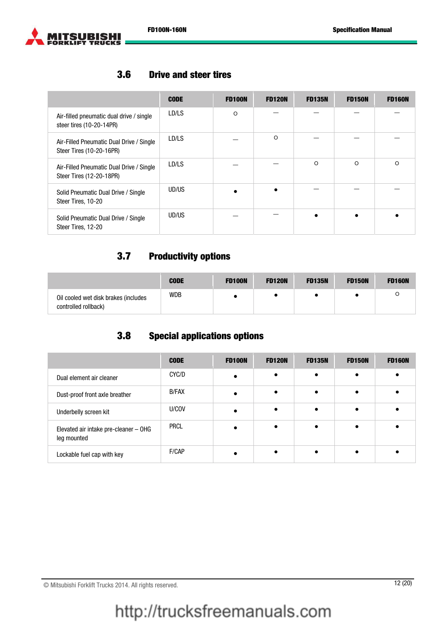

#### 3.6 Drive and steer tires

|                                                                      | <b>CODE</b> | <b>FD100N</b> | <b>FD120N</b> | <b>FD135N</b> | <b>FD150N</b> | <b>FD160N</b> |
|----------------------------------------------------------------------|-------------|---------------|---------------|---------------|---------------|---------------|
| Air-filled pneumatic dual drive / single<br>steer tires (10-20-14PR) | LD/LS       | O             |               |               |               |               |
| Air-Filled Pneumatic Dual Drive / Single<br>Steer Tires (10-20-16PR) | LD/LS       |               | $\circ$       |               |               |               |
| Air-Filled Pneumatic Dual Drive / Single<br>Steer Tires (12-20-18PR) | LD/LS       |               |               | $\circ$       | $\Omega$      | $\Omega$      |
| Solid Pneumatic Dual Drive / Single<br>Steer Tires, 10-20            | UD/US       |               |               |               |               |               |
| Solid Pneumatic Dual Drive / Single<br>Steer Tires, 12-20            | UD/US       |               |               |               |               |               |

#### 3.7 Productivity options

|                                                              | <b>CODE</b> | <b>FD100N</b> | <b>FD120N</b> | <b>FD135N</b> | <b>FD150N</b> | <b>FD160N</b> |
|--------------------------------------------------------------|-------------|---------------|---------------|---------------|---------------|---------------|
| Oil cooled wet disk brakes (includes<br>controlled rollback) | <b>WDB</b>  |               |               |               |               |               |

#### 3.8 Special applications options

|                                                      | <b>CODE</b>  | <b>FD100N</b> | <b>FD120N</b> | <b>FD135N</b> | <b>FD150N</b> | <b>FD160N</b> |
|------------------------------------------------------|--------------|---------------|---------------|---------------|---------------|---------------|
| Dual element air cleaner                             | CYC/D        |               |               | $\bullet$     | $\epsilon$    |               |
| Dust-proof front axle breather                       | <b>B/FAX</b> |               |               |               |               |               |
| Underbelly screen kit                                | U/COV        |               |               | $\bullet$     |               |               |
| Elevated air intake pre-cleaner - OHG<br>leg mounted | <b>PRCL</b>  |               |               |               |               |               |
| Lockable fuel cap with key                           | F/CAP        |               |               |               |               |               |

© Mitsubishi Forklift Trucks 2014. All rights reserved. 12 (20)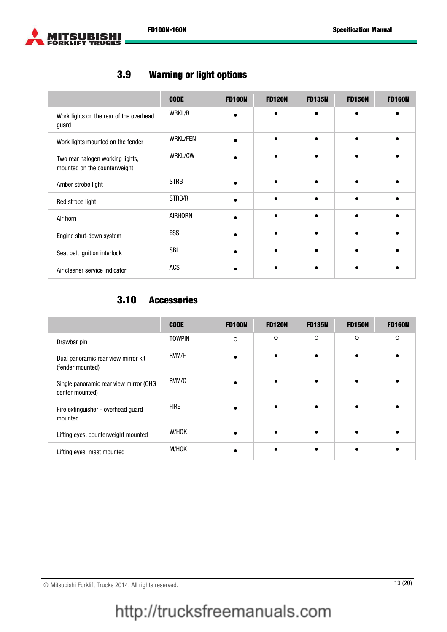

#### 3.9 Warning or light options

|                                                                  | <b>CODE</b>     | <b>FD100N</b> | <b>FD120N</b> | <b>FD135N</b> | <b>FD150N</b> | <b>FD160N</b> |
|------------------------------------------------------------------|-----------------|---------------|---------------|---------------|---------------|---------------|
| Work lights on the rear of the overhead<br>guard                 | <b>WRKL/R</b>   |               | $\bullet$     | $\bullet$     |               |               |
| Work lights mounted on the fender                                | <b>WRKL/FEN</b> |               |               | $\bullet$     |               |               |
| Two rear halogen working lights,<br>mounted on the counterweight | <b>WRKL/CW</b>  |               |               |               |               |               |
| Amber strobe light                                               | <b>STRB</b>     |               |               |               |               |               |
| Red strobe light                                                 | STRB/R          |               |               | $\bullet$     |               |               |
| Air horn                                                         | <b>AIRHORN</b>  |               |               |               |               |               |
| Engine shut-down system                                          | ESS             |               | $\bullet$     | $\bullet$     |               |               |
| Seat belt ignition interlock                                     | <b>SBI</b>      |               |               |               |               |               |
| Air cleaner service indicator                                    | <b>ACS</b>      |               |               |               |               |               |

#### 3.10 Accessories

|                                                           | <b>CODE</b>   | <b>FD100N</b> | <b>FD120N</b> | <b>FD135N</b> | <b>FD150N</b> | <b>FD160N</b> |
|-----------------------------------------------------------|---------------|---------------|---------------|---------------|---------------|---------------|
| Drawbar pin                                               | <b>TOWPIN</b> | O             | $\circ$       | $\circ$       | $\Omega$      | $\Omega$      |
| Dual panoramic rear view mirror kit<br>(fender mounted)   | <b>RVM/F</b>  |               |               |               |               |               |
| Single panoramic rear view mirror (OHG<br>center mounted) | RVM/C         |               | $\bullet$     | $\epsilon$    |               |               |
| Fire extinguisher - overhead guard<br>mounted             | <b>FIRE</b>   |               | $\bullet$     |               |               |               |
| Lifting eyes, counterweight mounted                       | W/HOK         |               |               |               |               |               |
| Lifting eyes, mast mounted                                | M/HOK         |               |               |               |               |               |

© Mitsubishi Forklift Trucks 2014. All rights reserved. 13 (20)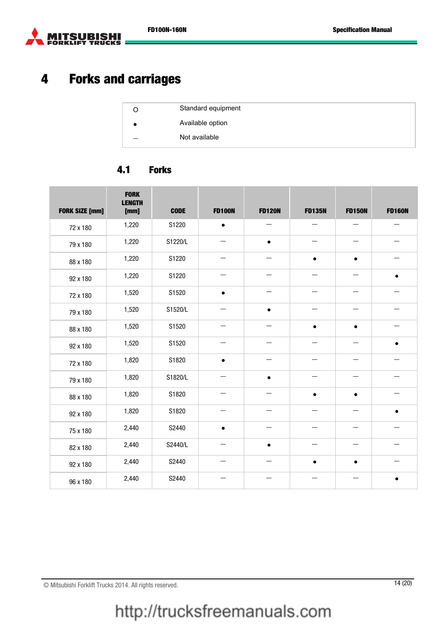

# 4 Forks and carriages

| Standard equipment |
|--------------------|
| Available option   |
| Not available      |

#### 4.1 Forks

| <b>FORK SIZE [mm]</b> | <b>FORK</b><br><b>LENGTH</b><br>[mm] | <b>CODE</b> | <b>FD100N</b>            | <b>FD120N</b>            | <b>FD135N</b>            | <b>FD150N</b>            | <b>FD160N</b> |
|-----------------------|--------------------------------------|-------------|--------------------------|--------------------------|--------------------------|--------------------------|---------------|
| 72 x 180              | 1,220                                | S1220       | $\bullet$                |                          |                          |                          |               |
| 79 x 180              | 1,220                                | S1220/L     |                          | $\bullet$                |                          |                          |               |
| 88 x 180              | 1,220                                | S1220       |                          |                          | $\bullet$                | $\bullet$                |               |
| 92 x 180              | 1,220                                | S1220       | $\overline{\phantom{0}}$ | —                        |                          | $\overline{\phantom{0}}$ | $\bullet$     |
| 72 x 180              | 1,520                                | S1520       | $\bullet$                |                          |                          |                          |               |
| 79 x 180              | 1,520                                | S1520/L     | $\overline{\phantom{0}}$ | $\bullet$                |                          |                          |               |
| 88 x 180              | 1,520                                | S1520       | $\overline{\phantom{0}}$ |                          | $\bullet$                | $\bullet$                |               |
| 92 x 180              | 1,520                                | S1520       | $\overline{\phantom{0}}$ | —                        | $\overline{\phantom{0}}$ | $\overline{\phantom{0}}$ | $\bullet$     |
| 72 x 180              | 1,820                                | S1820       | $\bullet$                |                          |                          |                          |               |
| 79 x 180              | 1,820                                | S1820/L     |                          | $\bullet$                |                          |                          |               |
| 88 x 180              | 1,820                                | S1820       | $\overline{\phantom{0}}$ | $\overline{\phantom{0}}$ | $\bullet$                | $\bullet$                |               |
| 92 x 180              | 1,820                                | S1820       |                          |                          |                          |                          | $\bullet$     |
| 75 x 180              | 2,440                                | S2440       | $\bullet$                |                          |                          |                          |               |
| 82 x 180              | 2,440                                | S2440/L     |                          | $\bullet$                |                          |                          |               |
| 92 x 180              | 2,440                                | S2440       | —                        | —                        |                          | $\bullet$                | —             |
| 96 x 180              | 2,440                                | S2440       |                          |                          |                          |                          | $\bullet$     |

© Mitsubishi Forklift Trucks 2014. All rights reserved. 14 (20)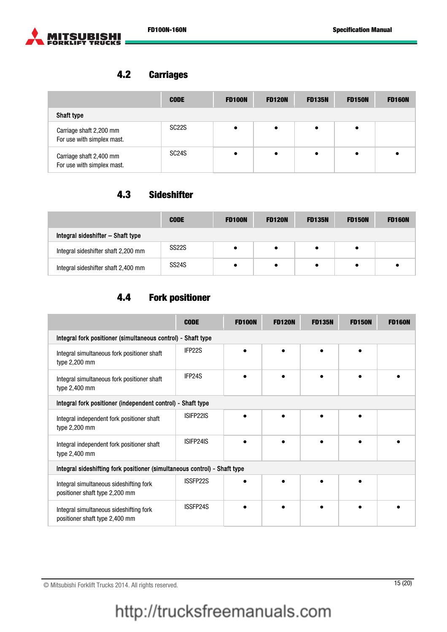



#### 4.2 Carriages

|                                                       | <b>CODE</b>        | <b>FD100N</b> | <b>FD120N</b> | <b>FD135N</b> | <b>FD150N</b> | <b>FD160N</b> |
|-------------------------------------------------------|--------------------|---------------|---------------|---------------|---------------|---------------|
| Shaft type                                            |                    |               |               |               |               |               |
| Carriage shaft 2,200 mm<br>For use with simplex mast. | SC <sub>22</sub> S |               |               | ٠             | $\bullet$     |               |
| Carriage shaft 2,400 mm<br>For use with simplex mast. | SC <sub>24</sub> S |               |               | $\bullet$     | $\bullet$     |               |

#### 4.3 Sideshifter

|                                     | <b>CODE</b>        | <b>FD100N</b> | <b>FD120N</b> | <b>FD135N</b> | <b>FD150N</b> | <b>FD160N</b> |
|-------------------------------------|--------------------|---------------|---------------|---------------|---------------|---------------|
| Integral sideshifter - Shaft type   |                    |               |               |               |               |               |
| Integral sideshifter shaft 2,200 mm | SS <sub>22</sub> S |               |               |               | ٠             |               |
| Integral sideshifter shaft 2,400 mm | SS <sub>24</sub> S |               |               |               | ٠             |               |

#### 4.4 Fork positioner

|                                                                           | <b>CODE</b> | <b>FD100N</b> | <b>FD120N</b> | <b>FD135N</b> | <b>FD150N</b> | <b>FD160N</b> |  |  |
|---------------------------------------------------------------------------|-------------|---------------|---------------|---------------|---------------|---------------|--|--|
| Integral fork positioner (simultaneous control) - Shaft type              |             |               |               |               |               |               |  |  |
| Integral simultaneous fork positioner shaft<br>type 2,200 mm              | IFP22S      |               |               |               |               |               |  |  |
| Integral simultaneous fork positioner shaft<br>type 2,400 mm              | IFP24S      |               |               |               |               |               |  |  |
| Integral fork positioner (independent control) - Shaft type               |             |               |               |               |               |               |  |  |
| Integral independent fork positioner shaft<br>type 2,200 mm               | ISIFP22IS   |               |               |               |               |               |  |  |
| Integral independent fork positioner shaft<br>type 2,400 mm               | ISIFP24IS   |               |               |               |               |               |  |  |
| Integral sideshifting fork positioner (simultaneous control) - Shaft type |             |               |               |               |               |               |  |  |
| Integral simultaneous sideshifting fork<br>positioner shaft type 2,200 mm | ISSFP22S    |               |               |               |               |               |  |  |
| Integral simultaneous sideshifting fork<br>positioner shaft type 2,400 mm | ISSFP24S    |               |               |               |               |               |  |  |

© Mitsubishi Forklift Trucks 2014. All rights reserved. 15 (20)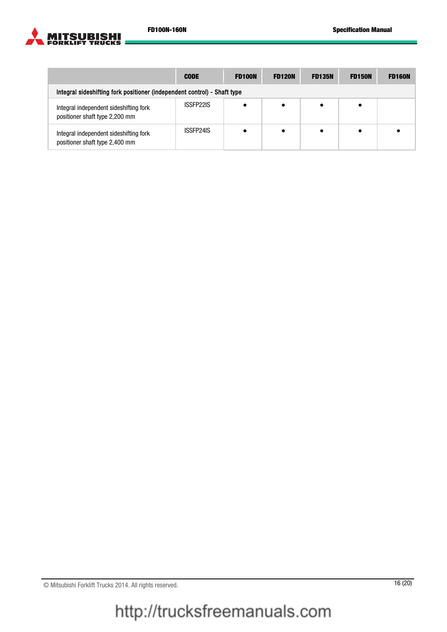

|                                                                          | <b>CODE</b> | <b>FD100N</b> | <b>FD120N</b> | <b>FD135N</b> | <b>FD150N</b> | <b>FD160N</b> |  |  |
|--------------------------------------------------------------------------|-------------|---------------|---------------|---------------|---------------|---------------|--|--|
| Integral sideshifting fork positioner (independent control) - Shaft type |             |               |               |               |               |               |  |  |
| Integral independent sideshifting fork<br>positioner shaft type 2,200 mm | ISSFP22IS   |               |               |               |               |               |  |  |
| Integral independent sideshifting fork<br>positioner shaft type 2,400 mm | ISSFP24IS   |               |               |               |               |               |  |  |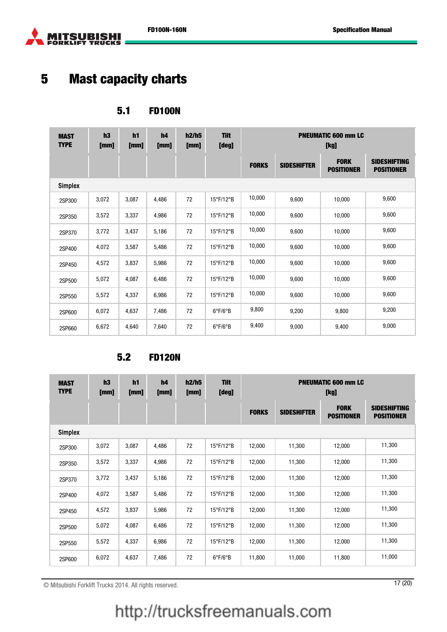



# 5 Mast capacity charts

#### 5.1 FD100N

| <b>MAST</b><br><b>TYPE</b> | h3<br>[mm] | h1<br>[mm] | h4<br>[mm] | h2/h5<br>[mm] | <b>Tilt</b><br>[deg]    | <b>PNEUMATIC 600 mm LC</b><br>[kg] |                    |                                  |                                          |  |
|----------------------------|------------|------------|------------|---------------|-------------------------|------------------------------------|--------------------|----------------------------------|------------------------------------------|--|
|                            |            |            |            |               |                         | <b>FORKS</b>                       | <b>SIDESHIFTER</b> | <b>FORK</b><br><b>POSITIONER</b> | <b>SIDESHIFTING</b><br><b>POSITIONER</b> |  |
| <b>Simplex</b>             |            |            |            |               |                         |                                    |                    |                                  |                                          |  |
| 2SP300                     | 3,072      | 3,087      | 4,486      | 72            | 15°F/12°B               | 10,000                             | 9,600              | 10,000                           | 9,600                                    |  |
| 2SP350                     | 3,572      | 3,337      | 4,986      | 72            | 15°F/12°B               | 10,000                             | 9,600              | 10,000                           | 9,600                                    |  |
| 2SP370                     | 3,772      | 3,437      | 5,186      | 72            | 15°F/12°B               | 10,000                             | 9,600              | 10,000                           | 9,600                                    |  |
| 2SP400                     | 4,072      | 3,587      | 5,486      | 72            | 15°F/12°B               | 10,000                             | 9,600              | 10,000                           | 9,600                                    |  |
| 2SP450                     | 4,572      | 3,837      | 5,986      | 72            | 15°F/12°B               | 10,000                             | 9,600              | 10,000                           | 9,600                                    |  |
| 2SP500                     | 5,072      | 4,087      | 6,486      | 72            | 15°F/12°B               | 10,000                             | 9,600              | 10,000                           | 9,600                                    |  |
| 2SP550                     | 5,572      | 4,337      | 6,986      | 72            | 15°F/12°B               | 10,000                             | 9,600              | 10,000                           | 9,600                                    |  |
| 2SP600                     | 6,072      | 4,637      | 7,486      | 72            | $6^{\circ}F/6^{\circ}B$ | 9,800                              | 9,200              | 9,800                            | 9,200                                    |  |
| 2SP660                     | 6,672      | 4,640      | 7,640      | 72            | $6^{\circ}F/6^{\circ}B$ | 9,400                              | 9,000              | 9,400                            | 9,000                                    |  |

#### 5.2 FD120N

| <b>MAST</b><br><b>TYPE</b> | h3<br>[mm] | h <sub>1</sub><br>[mm] | h4<br>[mm] | h2/h5<br>[mm] | <b>Tilt</b><br>[deg]           | <b>PNEUMATIC 600 mm LC</b><br>[kg] |                    |                                  |                                          |  |
|----------------------------|------------|------------------------|------------|---------------|--------------------------------|------------------------------------|--------------------|----------------------------------|------------------------------------------|--|
|                            |            |                        |            |               |                                | <b>FORKS</b>                       | <b>SIDESHIFTER</b> | <b>FORK</b><br><b>POSITIONER</b> | <b>SIDESHIFTING</b><br><b>POSITIONER</b> |  |
| <b>Simplex</b>             |            |                        |            |               |                                |                                    |                    |                                  |                                          |  |
| 2SP300                     | 3,072      | 3,087                  | 4,486      | 72            | $15^{\circ}$ F/12 $^{\circ}$ B | 12,000                             | 11,300             | 12,000                           | 11,300                                   |  |
| 2SP350                     | 3,572      | 3,337                  | 4,986      | 72            | 15°F/12°B                      | 12,000                             | 11,300             | 12,000                           | 11,300                                   |  |
| 2SP370                     | 3,772      | 3,437                  | 5,186      | 72            | 15°F/12°B                      | 12,000                             | 11,300             | 12,000                           | 11,300                                   |  |
| 2SP400                     | 4,072      | 3,587                  | 5,486      | 72            | 15°F/12°B                      | 12,000                             | 11,300             | 12,000                           | 11,300                                   |  |
| 2SP450                     | 4,572      | 3,837                  | 5,986      | 72            | $15^{\circ}$ F/12 $^{\circ}$ B | 12,000                             | 11,300             | 12,000                           | 11,300                                   |  |
| 2SP500                     | 5,072      | 4,087                  | 6,486      | 72            | 15°F/12°B                      | 12,000                             | 11,300             | 12,000                           | 11,300                                   |  |
| 2SP550                     | 5,572      | 4,337                  | 6,986      | 72            | 15°F/12°B                      | 12,000                             | 11,300             | 12,000                           | 11,300                                   |  |
| 2SP600                     | 6,072      | 4,637                  | 7,486      | 72            | $6^{\circ}F/6^{\circ}B$        | 11,800                             | 11,000             | 11,800                           | 11,000                                   |  |

© Mitsubishi Forklift Trucks 2014. All rights reserved. 17 (20)

# http://trucksfreemanuals.com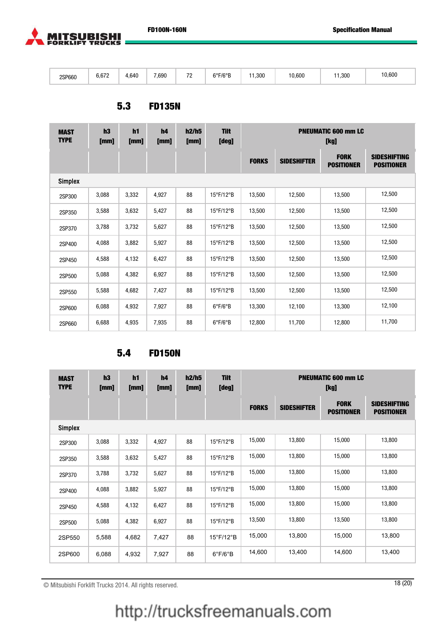

| 2SP660 | 0.220<br>6,672<br>$\sim$ | 4.640 | 7,690<br>. | $\overline{\phantom{a}}$ | $6^{\circ}$ F/6 $^{\circ}$ B<br>. | ,300<br>$\cdot$ $\cdot$ | 0,600 | ,300 | 10,600 |
|--------|--------------------------|-------|------------|--------------------------|-----------------------------------|-------------------------|-------|------|--------|
|--------|--------------------------|-------|------------|--------------------------|-----------------------------------|-------------------------|-------|------|--------|

#### 5.3 FD135N

| <b>MAST</b><br><b>TYPE</b> | h3<br>[mm] | h1<br>[mm] | h4<br>[mm] | h2/h5<br>[mm] | <b>Tilt</b><br>[deg]           | <b>PNEUMATIC 600 mm LC</b><br>[kg] |                    |                                  |                                          |  |
|----------------------------|------------|------------|------------|---------------|--------------------------------|------------------------------------|--------------------|----------------------------------|------------------------------------------|--|
|                            |            |            |            |               |                                | <b>FORKS</b>                       | <b>SIDESHIFTER</b> | <b>FORK</b><br><b>POSITIONER</b> | <b>SIDESHIFTING</b><br><b>POSITIONER</b> |  |
| <b>Simplex</b>             |            |            |            |               |                                |                                    |                    |                                  |                                          |  |
| 2SP300                     | 3,088      | 3,332      | 4,927      | 88            | 15°F/12°B                      | 13,500                             | 12,500             | 13,500                           | 12,500                                   |  |
| 2SP350                     | 3,588      | 3,632      | 5,427      | 88            | $15^{\circ}$ F/12 $^{\circ}$ B | 13,500                             | 12,500             | 13,500                           | 12,500                                   |  |
| 2SP370                     | 3,788      | 3,732      | 5,627      | 88            | 15°F/12°B                      | 13,500                             | 12,500             | 13,500                           | 12,500                                   |  |
| 2SP400                     | 4,088      | 3,882      | 5,927      | 88            | $15^{\circ}$ F/12 $^{\circ}$ B | 13,500                             | 12,500             | 13,500                           | 12,500                                   |  |
| 2SP450                     | 4,588      | 4,132      | 6,427      | 88            | 15°F/12°B                      | 13,500                             | 12,500             | 13,500                           | 12,500                                   |  |
| 2SP500                     | 5,088      | 4,382      | 6,927      | 88            | 15°F/12°B                      | 13,500                             | 12,500             | 13,500                           | 12,500                                   |  |
| 2SP550                     | 5,588      | 4,682      | 7,427      | 88            | 15°F/12°B                      | 13,500                             | 12,500             | 13,500                           | 12,500                                   |  |
| 2SP600                     | 6,088      | 4,932      | 7,927      | 88            | $6^{\circ}F/6^{\circ}B$        | 13,300                             | 12,100             | 13,300                           | 12,100                                   |  |
| 2SP660                     | 6,688      | 4,935      | 7,935      | 88            | $6^{\circ}F/6^{\circ}B$        | 12,800                             | 11,700             | 12,800                           | 11,700                                   |  |

#### 5.4 FD150N

| <b>MAST</b><br><b>TYPE</b> | h3<br>[mm] | h <sub>1</sub><br>[mm] | h4<br>[mm] | h2/h5<br>[mm] | <b>Tilt</b><br>[deg]           | <b>PNEUMATIC 600 mm LC</b><br>[kg] |                    |                                  |                                          |  |
|----------------------------|------------|------------------------|------------|---------------|--------------------------------|------------------------------------|--------------------|----------------------------------|------------------------------------------|--|
|                            |            |                        |            |               |                                | <b>FORKS</b>                       | <b>SIDESHIFTER</b> | <b>FORK</b><br><b>POSITIONER</b> | <b>SIDESHIFTING</b><br><b>POSITIONER</b> |  |
| <b>Simplex</b>             |            |                        |            |               |                                |                                    |                    |                                  |                                          |  |
| 2SP300                     | 3,088      | 3,332                  | 4,927      | 88            | 15°F/12°B                      | 15,000                             | 13,800             | 15,000                           | 13,800                                   |  |
| 2SP350                     | 3,588      | 3,632                  | 5,427      | 88            | 15°F/12°B                      | 15,000                             | 13,800             | 15,000                           | 13,800                                   |  |
| 2SP370                     | 3,788      | 3,732                  | 5,627      | 88            | 15°F/12°B                      | 15,000                             | 13,800             | 15,000                           | 13,800                                   |  |
| 2SP400                     | 4,088      | 3,882                  | 5,927      | 88            | 15°F/12°B                      | 15,000                             | 13,800             | 15,000                           | 13,800                                   |  |
| 2SP450                     | 4,588      | 4,132                  | 6,427      | 88            | 15°F/12°B                      | 15,000                             | 13,800             | 15,000                           | 13,800                                   |  |
| 2SP500                     | 5,088      | 4,382                  | 6,927      | 88            | 15°F/12°B                      | 13,500                             | 13,800             | 13,500                           | 13,800                                   |  |
| 2SP550                     | 5,588      | 4,682                  | 7,427      | 88            | $15^{\circ}$ F/12 $^{\circ}$ B | 15,000                             | 13,800             | 15,000                           | 13,800                                   |  |
| 2SP600                     | 6,088      | 4,932                  | 7,927      | 88            | $6^{\circ}$ F/6 $^{\circ}$ B   | 14,600                             | 13,400             | 14,600                           | 13,400                                   |  |

© Mitsubishi Forklift Trucks 2014. All rights reserved. 18 (20)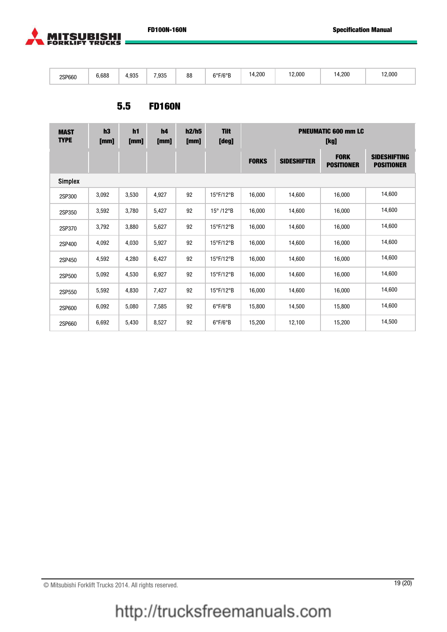

| 2SP660 | 6.688 | 4.03F<br>1. JU | 7,935<br>. | 0 <sub>0</sub><br>öö | COLICOD<br>F/r<br>$\cdot$ | .200<br>ıΔ<br>. | 2,000 | 14,200 | 12,000 |
|--------|-------|----------------|------------|----------------------|---------------------------|-----------------|-------|--------|--------|
|--------|-------|----------------|------------|----------------------|---------------------------|-----------------|-------|--------|--------|

#### 5.5 FD160N

| <b>MAST</b><br><b>TYPE</b> | h3<br>[mm] | h <sub>1</sub><br>[mm] | h4<br>[mm] | h2/h5<br>[mm] | <b>Tilt</b><br>[deg]          | <b>PNEUMATIC 600 mm LC</b><br>[kg] |                    |                                  |                                          |  |
|----------------------------|------------|------------------------|------------|---------------|-------------------------------|------------------------------------|--------------------|----------------------------------|------------------------------------------|--|
|                            |            |                        |            |               |                               | <b>FORKS</b>                       | <b>SIDESHIFTER</b> | <b>FORK</b><br><b>POSITIONER</b> | <b>SIDESHIFTING</b><br><b>POSITIONER</b> |  |
| <b>Simplex</b>             |            |                        |            |               |                               |                                    |                    |                                  |                                          |  |
| 2SP300                     | 3,092      | 3,530                  | 4,927      | 92            | 15°F/12°B                     | 16,000                             | 14,600             | 16,000                           | 14,600                                   |  |
| 2SP350                     | 3,592      | 3,780                  | 5,427      | 92            | $15^{\circ}$ /12 $^{\circ}$ B | 16,000                             | 14,600             | 16,000                           | 14,600                                   |  |
| 2SP370                     | 3,792      | 3,880                  | 5,627      | 92            | 15°F/12°B                     | 16,000                             | 14,600             | 16,000                           | 14,600                                   |  |
| 2SP400                     | 4,092      | 4,030                  | 5,927      | 92            | 15°F/12°B                     | 16,000                             | 14,600             | 16,000                           | 14,600                                   |  |
| 2SP450                     | 4,592      | 4,280                  | 6,427      | 92            | 15°F/12°B                     | 16,000                             | 14,600             | 16,000                           | 14,600                                   |  |
| 2SP500                     | 5,092      | 4,530                  | 6,927      | 92            | 15°F/12°B                     | 16,000                             | 14,600             | 16,000                           | 14,600                                   |  |
| 2SP550                     | 5,592      | 4,830                  | 7,427      | 92            | 15°F/12°B                     | 16,000                             | 14,600             | 16,000                           | 14,600                                   |  |
| 2SP600                     | 6,092      | 5,080                  | 7,585      | 92            | $6^{\circ}F/6^{\circ}B$       | 15,800                             | 14,500             | 15,800                           | 14,600                                   |  |
| 2SP660                     | 6,692      | 5,430                  | 8,527      | 92            | $6^{\circ}F/6^{\circ}B$       | 15,200                             | 12,100             | 15,200                           | 14,500                                   |  |

© Mitsubishi Forklift Trucks 2014. All rights reserved. 19 (20)